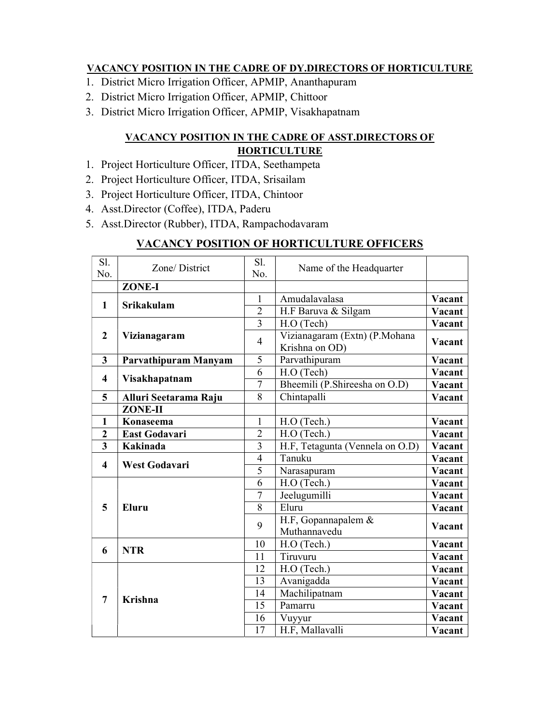## VACANCY POSITION IN THE CADRE OF DY.DIRECTORS OF HORTICULTURE

- 1. District Micro Irrigation Officer, APMIP, Ananthapuram
- 2. District Micro Irrigation Officer, APMIP, Chittoor
- 3. District Micro Irrigation Officer, APMIP, Visakhapatnam

## VACANCY POSITION IN THE CADRE OF ASST.DIRECTORS OF **HORTICULTURE**

- 1. Project Horticulture Officer, ITDA, Seethampeta
- 2. Project Horticulture Officer, ITDA, Srisailam
- 3. Project Horticulture Officer, ITDA, Chintoor
- 4. Asst.Director (Coffee), ITDA, Paderu
- 5. Asst.Director (Rubber), ITDA, Rampachodavaram

## VACANCY POSITION OF HORTICULTURE OFFICERS

| Sl.                     | Zone/District         | Sl.            | Name of the Headquarter         |        |
|-------------------------|-----------------------|----------------|---------------------------------|--------|
| No.                     |                       | No.            |                                 |        |
|                         | ZONE-I                |                |                                 |        |
| $\mathbf{1}$            | <b>Srikakulam</b>     | $\mathbf{1}$   | Amudalavalasa                   | Vacant |
|                         |                       | $\overline{2}$ | H.F Baruva & Silgam             | Vacant |
|                         | Vizianagaram          | 3              | H.O (Tech)                      | Vacant |
| $\overline{2}$          |                       | $\overline{4}$ | Vizianagaram (Extn) (P.Mohana   | Vacant |
|                         |                       |                | Krishna on OD)                  |        |
| 3                       | Parvathipuram Manyam  | 5              | Parvathipuram                   | Vacant |
| $\overline{\mathbf{4}}$ | Visakhapatnam         | 6              | H.O (Tech)                      | Vacant |
|                         |                       | $\overline{7}$ | Bheemili (P.Shireesha on O.D)   | Vacant |
| 5                       | Alluri Seetarama Raju | 8              | Chintapalli                     | Vacant |
|                         | <b>ZONE-II</b>        |                |                                 |        |
| 1                       | Konaseema             | 1              | H.O (Tech.)                     | Vacant |
| $\overline{2}$          | <b>East Godavari</b>  | $\overline{2}$ | H.O (Tech.)                     | Vacant |
| 3                       | Kakinada              | 3              | H.F, Tetagunta (Vennela on O.D) | Vacant |
| $\overline{\mathbf{4}}$ | <b>West Godavari</b>  | $\overline{4}$ | Tanuku                          | Vacant |
|                         |                       | 5              | Narasapuram                     | Vacant |
| 5                       | Eluru                 | 6              | H.O (Tech.)                     | Vacant |
|                         |                       | 7              | Jeelugumilli                    | Vacant |
|                         |                       | 8              | Eluru                           | Vacant |
|                         |                       | 9              | H.F, Gopannapalem &             | Vacant |
|                         |                       |                | Muthannavedu                    |        |
| 6                       | <b>NTR</b>            | 10             | H.O (Tech.)                     | Vacant |
|                         |                       | 11             | Tiruvuru                        | Vacant |
| 7                       | <b>Krishna</b>        | 12             | H.O (Tech.)                     | Vacant |
|                         |                       | 13             | Avanigadda                      | Vacant |
|                         |                       | 14             | Machilipatnam                   | Vacant |
|                         |                       | 15             | Pamarru                         | Vacant |
|                         |                       | 16             | Vuyyur                          | Vacant |
|                         |                       | 17             | H.F, Mallavalli                 | Vacant |